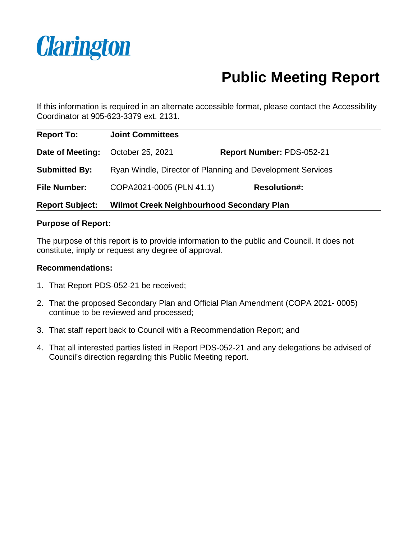

# **Public Meeting Report**

If this information is required in an alternate accessible format, please contact the Accessibility Coordinator at 905-623-3379 ext. 2131.

| <b>Report To:</b>      | <b>Joint Committees</b>                                    |                           |
|------------------------|------------------------------------------------------------|---------------------------|
| Date of Meeting:       | October 25, 2021                                           | Report Number: PDS-052-21 |
| <b>Submitted By:</b>   | Ryan Windle, Director of Planning and Development Services |                           |
| <b>File Number:</b>    | COPA2021-0005 (PLN 41.1)                                   | <b>Resolution#:</b>       |
| <b>Report Subject:</b> | <b>Wilmot Creek Neighbourhood Secondary Plan</b>           |                           |

### **Purpose of Report:**

The purpose of this report is to provide information to the public and Council. It does not constitute, imply or request any degree of approval.

### **Recommendations:**

- 1. That Report PDS-052-21 be received;
- 2. That the proposed Secondary Plan and Official Plan Amendment (COPA 2021- 0005) continue to be reviewed and processed;
- 3. That staff report back to Council with a Recommendation Report; and
- 4. That all interested parties listed in Report PDS-052-21 and any delegations be advised of Council's direction regarding this Public Meeting report.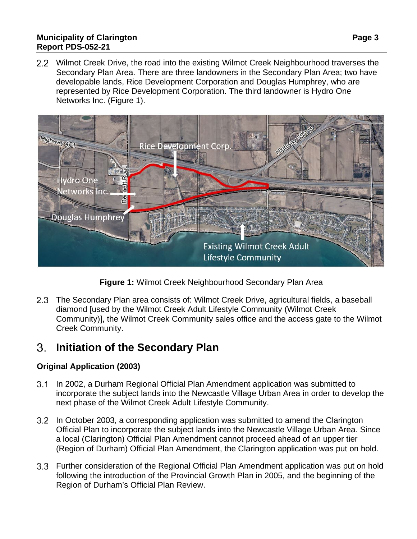### **Municipality of Clarington Page 3 Report PDS-052-21**

2.2 Wilmot Creek Drive, the road into the existing Wilmot Creek Neighbourhood traverses the Secondary Plan Area. There are three landowners in the Secondary Plan Area; two have developable lands, Rice Development Corporation and Douglas Humphrey, who are represented by Rice Development Corporation. The third landowner is Hydro One Networks Inc. (Figure 1).



**Figure 1:** Wilmot Creek Neighbourhood Secondary Plan Area

2.3 The Secondary Plan area consists of: Wilmot Creek Drive, agricultural fields, a baseball diamond [used by the Wilmot Creek Adult Lifestyle Community (Wilmot Creek Community)], the Wilmot Creek Community sales office and the access gate to the Wilmot Creek Community.

#### 3. **Initiation of the Secondary Plan**

### **Original Application (2003)**

- In 2002, a Durham Regional Official Plan Amendment application was submitted to incorporate the subject lands into the Newcastle Village Urban Area in order to develop the next phase of the Wilmot Creek Adult Lifestyle Community.
- In October 2003, a corresponding application was submitted to amend the Clarington Official Plan to incorporate the subject lands into the Newcastle Village Urban Area. Since a local (Clarington) Official Plan Amendment cannot proceed ahead of an upper tier (Region of Durham) Official Plan Amendment, the Clarington application was put on hold.
- Further consideration of the Regional Official Plan Amendment application was put on hold following the introduction of the Provincial Growth Plan in 2005, and the beginning of the Region of Durham's Official Plan Review.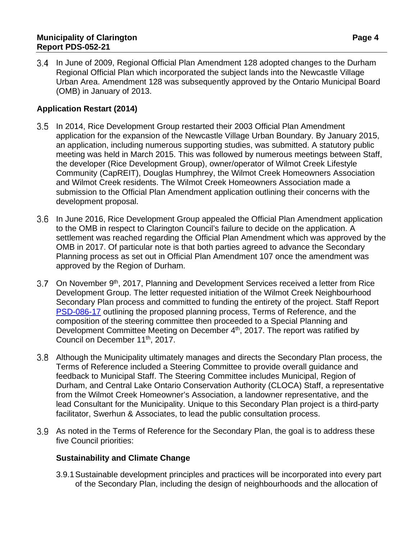In June of 2009, Regional Official Plan Amendment 128 adopted changes to the Durham Regional Official Plan which incorporated the subject lands into the Newcastle Village Urban Area. Amendment 128 was subsequently approved by the Ontario Municipal Board (OMB) in January of 2013.

### **Application Restart (2014)**

- 3.5 In 2014, Rice Development Group restarted their 2003 Official Plan Amendment application for the expansion of the Newcastle Village Urban Boundary. By January 2015, an application, including numerous supporting studies, was submitted. A statutory public meeting was held in March 2015. This was followed by numerous meetings between Staff, the developer (Rice Development Group), owner/operator of Wilmot Creek Lifestyle Community (CapREIT), Douglas Humphrey, the Wilmot Creek Homeowners Association and Wilmot Creek residents. The Wilmot Creek Homeowners Association made a submission to the Official Plan Amendment application outlining their concerns with the development proposal.
- 3.6 In June 2016, Rice Development Group appealed the Official Plan Amendment application to the OMB in respect to Clarington Council's failure to decide on the application. A settlement was reached regarding the Official Plan Amendment which was approved by the OMB in 2017. Of particular note is that both parties agreed to advance the Secondary Planning process as set out in Official Plan Amendment 107 once the amendment was approved by the Region of Durham.
- 3.7 On November 9<sup>th</sup>, 2017, Planning and Development Services received a letter from Rice Development Group. The letter requested initiation of the Wilmot Creek Neighbourhood Secondary Plan process and committed to funding the entirety of the project. Staff Report [PSD-086-17](https://weblink.clarington.net/weblink/0/edoc/109188/PSD-086-17.pdf) outlining the proposed planning process, Terms of Reference, and the composition of the steering committee then proceeded to a Special Planning and Development Committee Meeting on December 4<sup>th</sup>, 2017. The report was ratified by Council on December 11th, 2017.
- Although the Municipality ultimately manages and directs the Secondary Plan process, the Terms of Reference included a Steering Committee to provide overall guidance and feedback to Municipal Staff. The Steering Committee includes Municipal, Region of Durham, and Central Lake Ontario Conservation Authority (CLOCA) Staff, a representative from the Wilmot Creek Homeowner's Association, a landowner representative, and the lead Consultant for the Municipality. Unique to this Secondary Plan project is a third-party facilitator, Swerhun & Associates, to lead the public consultation process.
- 3.9 As noted in the Terms of Reference for the Secondary Plan, the goal is to address these five Council priorities:

### **Sustainability and Climate Change**

3.9.1Sustainable development principles and practices will be incorporated into every part of the Secondary Plan, including the design of neighbourhoods and the allocation of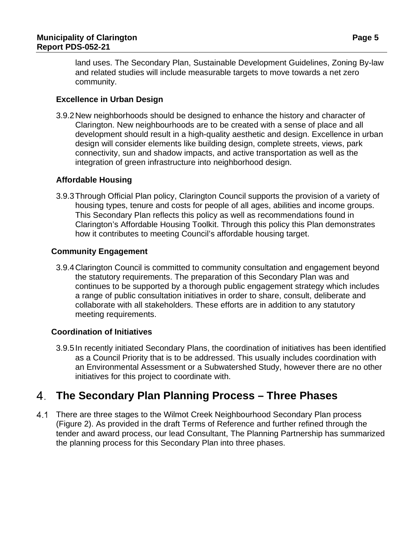land uses. The Secondary Plan, Sustainable Development Guidelines, Zoning By-law and related studies will include measurable targets to move towards a net zero community.

### **Excellence in Urban Design**

3.9.2New neighborhoods should be designed to enhance the history and character of Clarington. New neighbourhoods are to be created with a sense of place and all development should result in a high-quality aesthetic and design. Excellence in urban design will consider elements like building design, complete streets, views, park connectivity, sun and shadow impacts, and active transportation as well as the integration of green infrastructure into neighborhood design.

### **Affordable Housing**

3.9.3 Through Official Plan policy, Clarington Council supports the provision of a variety of housing types, tenure and costs for people of all ages, abilities and income groups. This Secondary Plan reflects this policy as well as recommendations found in Clarington's Affordable Housing Toolkit. Through this policy this Plan demonstrates how it contributes to meeting Council's affordable housing target.

### **Community Engagement**

3.9.4Clarington Council is committed to community consultation and engagement beyond the statutory requirements. The preparation of this Secondary Plan was and continues to be supported by a thorough public engagement strategy which includes a range of public consultation initiatives in order to share, consult, deliberate and collaborate with all stakeholders. These efforts are in addition to any statutory meeting requirements.

### **Coordination of Initiatives**

3.9.5In recently initiated Secondary Plans, the coordination of initiatives has been identified as a Council Priority that is to be addressed. This usually includes coordination with an Environmental Assessment or a Subwatershed Study, however there are no other initiatives for this project to coordinate with.

## **The Secondary Plan Planning Process – Three Phases**

4.1 There are three stages to the Wilmot Creek Neighbourhood Secondary Plan process (Figure 2). As provided in the draft Terms of Reference and further refined through the tender and award process, our lead Consultant, The Planning Partnership has summarized the planning process for this Secondary Plan into three phases.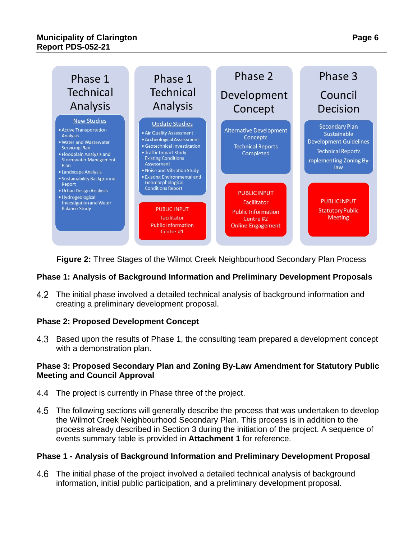

**Figure 2:** Three Stages of the Wilmot Creek Neighbourhood Secondary Plan Process

### **Phase 1: Analysis of Background Information and Preliminary Development Proposals**

The initial phase involved a detailed technical analysis of background information and creating a preliminary development proposal.

### **Phase 2: Proposed Development Concept**

4.3 Based upon the results of Phase 1, the consulting team prepared a development concept with a demonstration plan.

### **Phase 3: Proposed Secondary Plan and Zoning By-Law Amendment for Statutory Public Meeting and Council Approval**

- 4.4 The project is currently in Phase three of the project.
- The following sections will generally describe the process that was undertaken to develop the Wilmot Creek Neighbourhood Secondary Plan. This process is in addition to the process already described in Section 3 during the initiation of the project. A sequence of events summary table is provided in **Attachment 1** for reference.

### **Phase 1 - Analysis of Background Information and Preliminary Development Proposal**

The initial phase of the project involved a detailed technical analysis of background information, initial public participation, and a preliminary development proposal.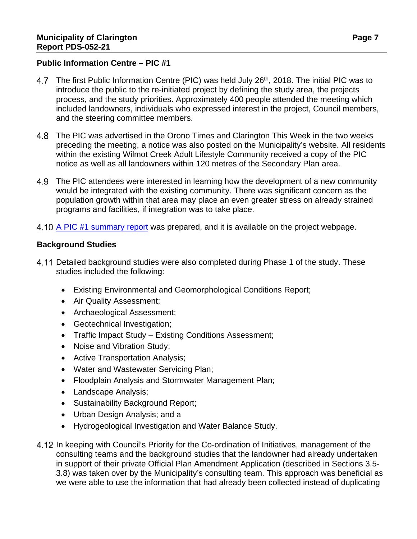### **Public Information Centre – PIC #1**

- 4.7 The first Public Information Centre (PIC) was held July 26<sup>th</sup>, 2018. The initial PIC was to introduce the public to the re-initiated project by defining the study area, the projects process, and the study priorities. Approximately 400 people attended the meeting which included landowners, individuals who expressed interest in the project, Council members, and the steering committee members.
- The PIC was advertised in the Orono Times and Clarington This Week in the two weeks preceding the meeting, a notice was also posted on the Municipality's website. All residents within the existing Wilmot Creek Adult Lifestyle Community received a copy of the PIC notice as well as all landowners within 120 metres of the Secondary Plan area.
- 4.9 The PIC attendees were interested in learning how the development of a new community would be integrated with the existing community. There was significant concern as the population growth within that area may place an even greater stress on already strained programs and facilities, if integration was to take place.
- 4.10 A PIC #1 [summary report](https://www.clarington.net/en/business-and-development/resources/Community-Planning-and-Studies/Secondary-Plans/Wilmot-Creek/Final-Draft-PIC-Summary-Report-AODA.pdf) was prepared, and it is available on the project webpage.

### **Background Studies**

- 4.11 Detailed background studies were also completed during Phase 1 of the study. These studies included the following:
	- Existing Environmental and Geomorphological Conditions Report;
	- Air Quality Assessment;
	- Archaeological Assessment;
	- Geotechnical Investigation;
	- Traffic Impact Study Existing Conditions Assessment;
	- Noise and Vibration Study;
	- Active Transportation Analysis;
	- Water and Wastewater Servicing Plan;
	- Floodplain Analysis and Stormwater Management Plan;
	- Landscape Analysis;
	- Sustainability Background Report;
	- Urban Design Analysis; and a
	- Hydrogeological Investigation and Water Balance Study.
- 4.12 In keeping with Council's Priority for the Co-ordination of Initiatives, management of the consulting teams and the background studies that the landowner had already undertaken in support of their private Official Plan Amendment Application (described in Sections 3.5- 3.8) was taken over by the Municipality's consulting team. This approach was beneficial as we were able to use the information that had already been collected instead of duplicating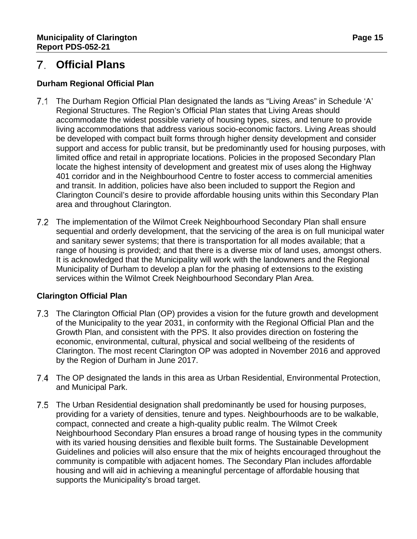### **Public Information Centre - PIC #1**

- 7. The first Public Information Centre (PIC) was held July 26<sup>th</sup>, 2018. The initial PIC was to introduce the public to the re-initiated project by defining the study area, the projects process, and the study priorities. Approximately 400 people attended the meeting which included landowners, individuals who expressed interest in the project, Council members, and the steering committee members.
- 7.1 The PIC was advertised in the Orono Times and Clarington This Week in the two weeks preceding the meeting, a notice was also posted on the Municipality's website. All residents within the existing Wilmot Creek Adult Lifestyle Community received a copy of the PIC notice as well as all landowners within 120 metres of the Secondary Plan area.
- 7.2 The PIC attendees were interested in learning how the development of a new community would be integrated with the existing community. There was significant concern as the population growth within that area may place an even greater stress on already strained programs and facilities, if integration was to take place.
- 7.3 A PIC #1 summary report was prepared, and it is available on the project webpage.

### **Background Studies**

- 7.4 Detailed background studies were also completed during Phase 1 of the study. These studies included the following:
	- x Existing Environmental and Geomorphological Conditions Report;
	- x Air Quality Assessment:
	- x Archaeological Assessment;
	- x Geotechnical Investigation;
	- x Traffic Impact Study Existing Conditions Assessment;
	- x Noise and Vibration Study;
	- x Active Transportation Analysis;
	- x Water and Wastewater Servicing Plan;
	- x Floodplain Analysis and Stormwater Management Plan;
	- x Landscape Analysis;
	- x Sustainability Background Report;
	- x Urban Design Analysis; and a
	- x Hydrogeological Investigation and Water Balance Study.
- 7.5 In keeping with Council's Priority for the Co-ordination of Initiatives, management of the consulting teams and the background studies that the landowner had already undertaken in support of their private Official Plan Amendment Application (described in Sections 3.5-3.8) was taken over by the Municipality's consulting team. This approach was beneficial as we were able to use the information that had already been collected instead of duplicating